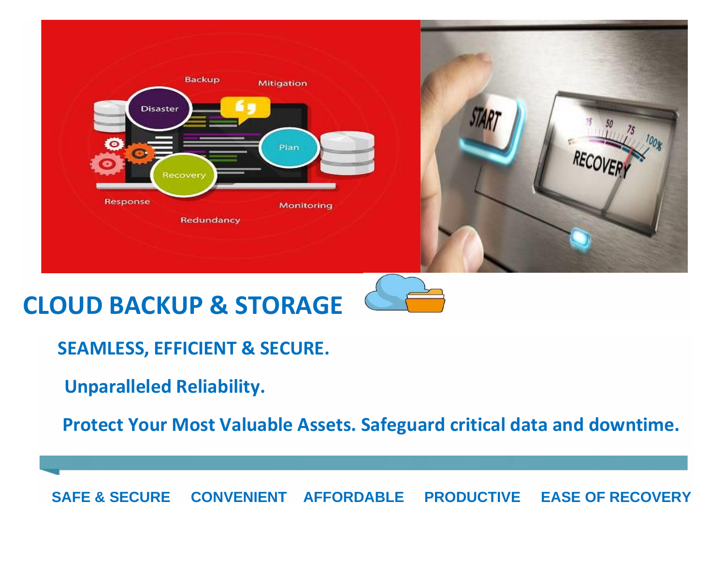

# **CLOUD BACKUP & STORAGE**

 **SEAMLESS, EFFICIENT & SECURE.** 

**Unparalleled Reliability.** 

 **Protect Your Most Valuable Assets. Safeguard critical data and downtime.** 

 **SAFE & SECURE CONVENIENT AFFORDABLE PRODUCTIVE EASE OF RECOVERY**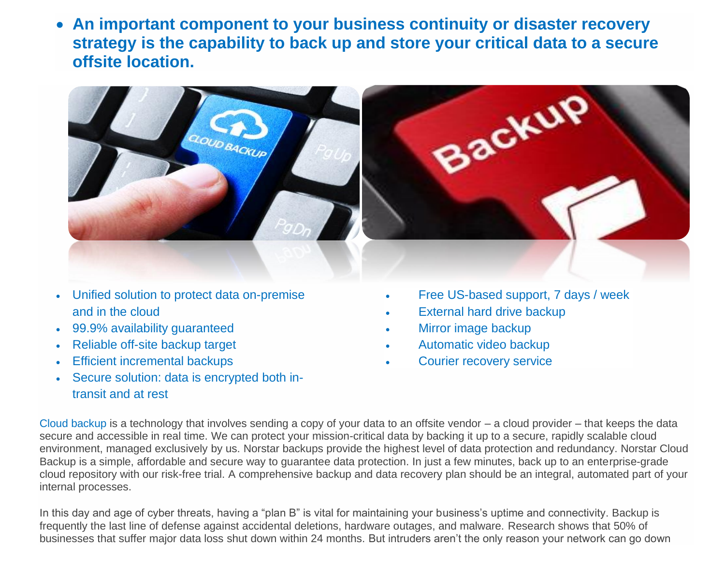• **An important component to your business continuity or disaster recovery strategy is the capability to back up and store your critical data to a secure offsite location.**



- Unified solution to protect data on-premise and in the cloud
- 99.9% availability guaranteed
- Reliable off-site backup target
- **Efficient incremental backups**
- Secure solution: data is encrypted both intransit and at rest
- Free US-based support, 7 days / week
- **External hard drive backup**
- Mirror image backup
- Automatic video backup
- Courier recovery service

Cloud backup is a technology that involves sending a copy of your data to an offsite vendor – a cloud provider – that keeps the data secure and accessible in real time. We can protect your mission-critical data by backing it up to a secure, rapidly scalable cloud environment, managed exclusively by us. Norstar backups provide the highest level of data protection and redundancy. Norstar Cloud Backup is a simple, affordable and secure way to guarantee data protection. In just a few minutes, back up to an enterprise-grade cloud repository with our risk-free trial. A comprehensive backup and data recovery plan should be an integral, automated part of your internal processes.

In this day and age of cyber threats, having a "plan B" is vital for maintaining your business's uptime and connectivity. Backup is frequently the last line of defense against accidental deletions, hardware outages, and malware. Research shows that 50% of businesses that suffer major data loss shut down within 24 months. But intruders aren't the only reason your network can go down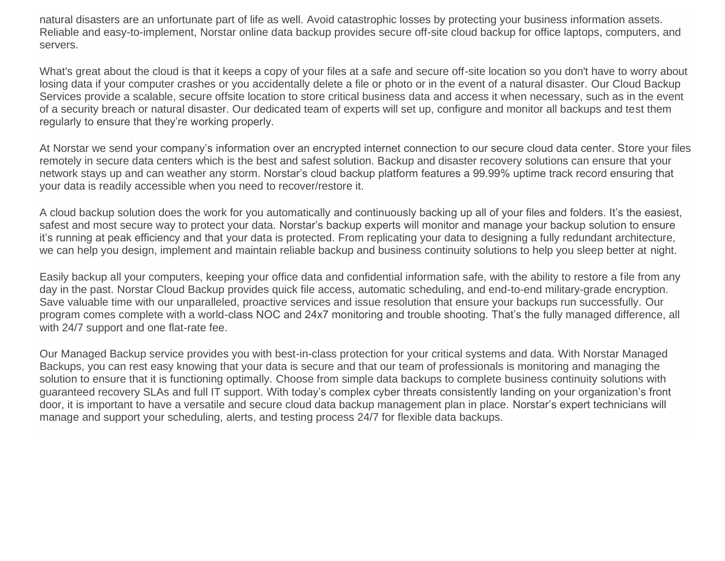natural disasters are an unfortunate part of life as well. Avoid catastrophic losses by protecting your business information assets. Reliable and easy-to-implement, Norstar online data backup provides secure off-site cloud backup for office laptops, computers, and servers.

What's great about the cloud is that it keeps a copy of your files at a safe and secure off-site location so you don't have to worry about losing data if your computer crashes or you accidentally delete a file or photo or in the event of a natural disaster. Our Cloud Backup Services provide a scalable, secure offsite location to store critical business data and access it when necessary, such as in the event of a security breach or natural disaster. Our dedicated team of experts will set up, configure and monitor all backups and test them regularly to ensure that they're working properly.

At Norstar we send your company's information over an encrypted internet connection to our secure cloud data center. Store your files remotely in secure data centers which is the best and safest solution. Backup and disaster recovery solutions can ensure that your network stays up and can weather any storm. Norstar's cloud backup platform features a 99.99% uptime track record ensuring that your data is readily accessible when you need to recover/restore it.

A cloud backup solution does the work for you automatically and continuously backing up all of your files and folders. It's the easiest, safest and most secure way to protect your data. Norstar's backup experts will monitor and manage your backup solution to ensure it's running at peak efficiency and that your data is protected. From replicating your data to designing a fully redundant architecture, we can help you design, implement and maintain reliable backup and business continuity solutions to help you sleep better at night.

Easily backup all your computers, keeping your office data and confidential information safe, with the ability to restore a file from any day in the past. Norstar Cloud Backup provides quick file access, automatic scheduling, and end-to-end military-grade encryption. Save valuable time with our unparalleled, proactive services and issue resolution that ensure your backups run successfully. Our program comes complete with a world-class NOC and 24x7 monitoring and trouble shooting. That's the fully managed difference, all with 24/7 support and one flat-rate fee.

Our Managed Backup service provides you with best-in-class protection for your critical systems and data. With Norstar Managed Backups, you can rest easy knowing that your data is secure and that our team of professionals is monitoring and managing the solution to ensure that it is functioning optimally. Choose from simple data backups to complete business continuity solutions with guaranteed recovery SLAs and full IT support. With today's complex cyber threats consistently landing on your organization's front door, it is important to have a versatile and secure cloud data backup management plan in place. Norstar's expert technicians will manage and support your scheduling, alerts, and testing process 24/7 for flexible data backups.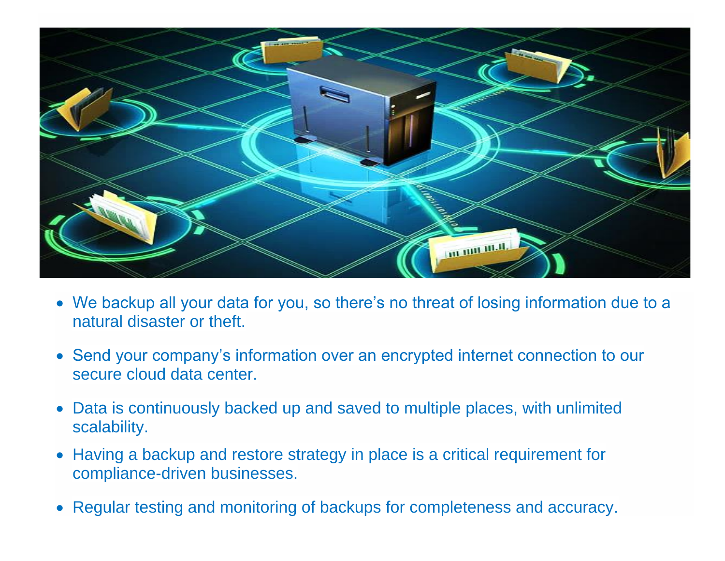

- We backup all your data for you, so there's no threat of losing information due to a natural disaster or theft.
- Send your company's information over an encrypted internet connection to our secure cloud data center.
- Data is continuously backed up and saved to multiple places, with unlimited scalability.
- Having a backup and restore strategy in place is a critical requirement for compliance-driven businesses.
- Regular testing and monitoring of backups for completeness and accuracy.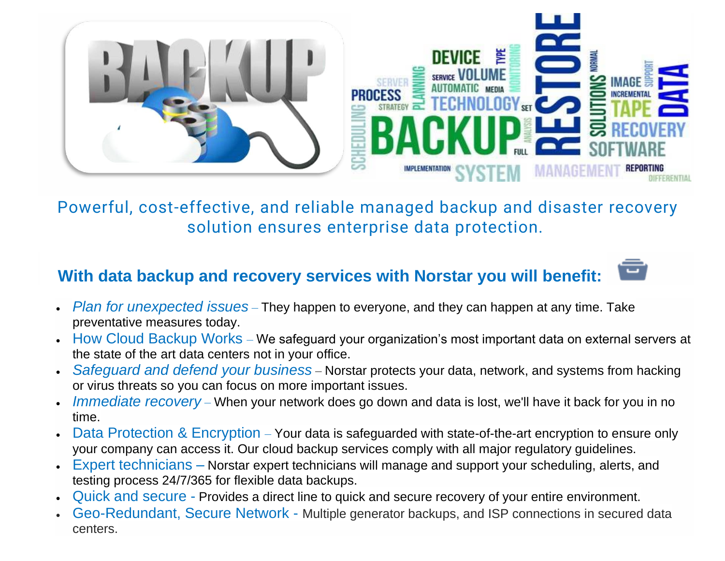

Powerful, cost-effective, and reliable managed backup and disaster recovery solution ensures enterprise data protection.

#### **With data backup and recovery services with Norstar you will benefit:**

- *Plan for unexpected issues* They happen to everyone, and they can happen at any time. Take preventative measures today.
- How Cloud Backup Works We safeguard your organization's most important data on external servers at the state of the art data centers not in your office.
- *Safeguard and defend your business* Norstar protects your data, network, and systems from hacking or virus threats so you can focus on more important issues.
- *Immediate recovery* When your network does go down and data is lost, we'll have it back for you in no time.
- Data Protection & Encryption Your data is safeguarded with state-of-the-art encryption to ensure only your company can access it. Our cloud backup services comply with all major regulatory guidelines.
- Expert technicians Norstar expert technicians will manage and support your scheduling, alerts, and testing process 24/7/365 for flexible data backups.
- Quick and secure Provides a direct line to quick and secure recovery of your entire environment.
- Geo-Redundant, Secure Network Multiple generator backups, and ISP connections in secured data centers.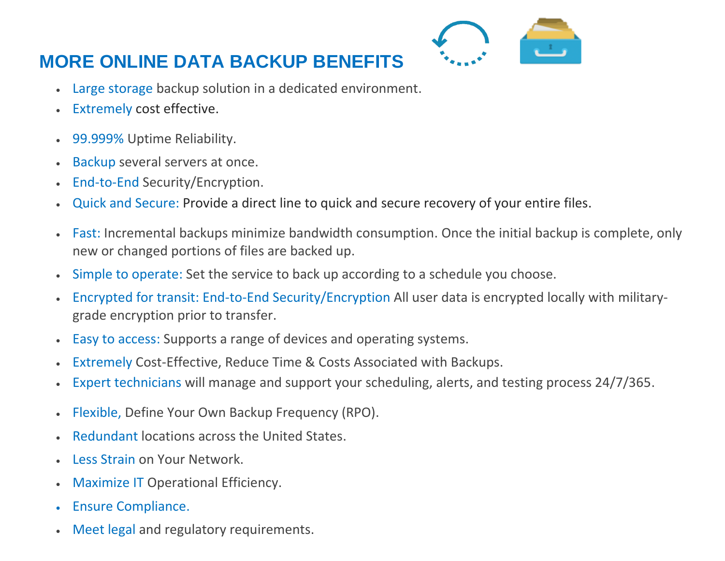## **MORE ONLINE DATA BACKUP BENEFITS**

- 
- Large storage backup solution in a dedicated environment.
- Extremely cost effective.
- 99.999% Uptime Reliability.
- Backup several servers at once.
- End-to-End Security/Encryption.
- Quick and Secure: Provide a direct line to quick and secure recovery of your entire files.
- Fast: Incremental backups minimize bandwidth consumption. Once the initial backup is complete, only new or changed portions of files are backed up.
- Simple to operate: Set the service to back up according to a schedule you choose.
- Encrypted for transit: End-to-End Security/Encryption All user data is encrypted locally with militarygrade encryption prior to transfer.
- Easy to access: Supports a range of devices and operating systems.
- Extremely Cost-Effective, Reduce Time & Costs Associated with Backups.
- Expert technicians will manage and support your scheduling, alerts, and testing process 24/7/365.
- Flexible, Define Your Own Backup Frequency (RPO).
- Redundant locations across the United States.
- Less Strain on Your Network.
- Maximize IT Operational Efficiency.
- Ensure Compliance.
- Meet legal and regulatory requirements.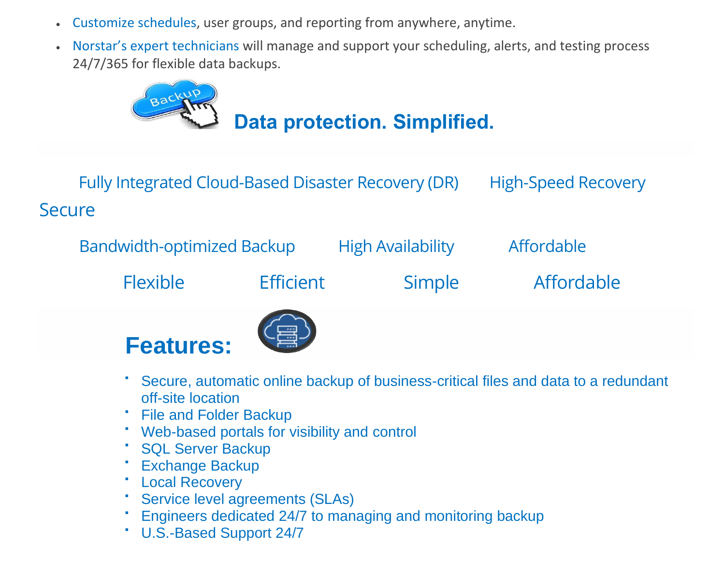- Customize schedules, user groups, and reporting from anywhere, anytime.
- Norstar's expert technicians will manage and support your scheduling, alerts, and testing process 24/7/365 for flexible data backups.



Fully Integrated Cloud-Based Disaster Recovery (DR) High-Speed Recovery **Secure** 

Bandwidth-optimized Backup High Availability Affordable

Flexible Efficient Simple Affordable

# **Features:**



- Secure, automatic online backup of business-critical files and data to a redundant off-site location
- **File and Folder Backup**
- Web-based portals for visibility and control
- SQL Server Backup
- **Exchange Backup**
- Local Recovery
- **Service level agreements (SLAs)**
- Engineers dedicated 24/7 to managing and monitoring backup
- U.S.-Based Support 24/7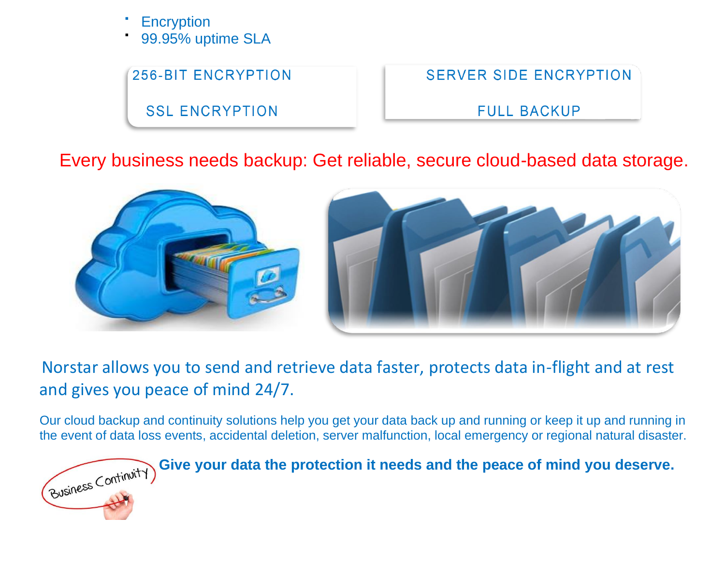- **Encryption**
- 99.95% uptime SLA

**256-BIT ENCRYPTION** 

**SSL ENCRYPTION** 

**SERVER SIDE ENCRYPTION** 

**FULL BACKUP** 

### Every business needs backup: Get reliable, secure cloud-based data storage.



### Norstar allows you to send and retrieve data faster, protects data in-flight and at rest and gives you peace of mind 24/7.

Our cloud backup and continuity solutions help you get your data back up and running or keep it up and running in the event of data loss events, accidental deletion, server malfunction, local emergency or regional natural disaster.

Give your data the protection it needs and the peace of mind you deserve.